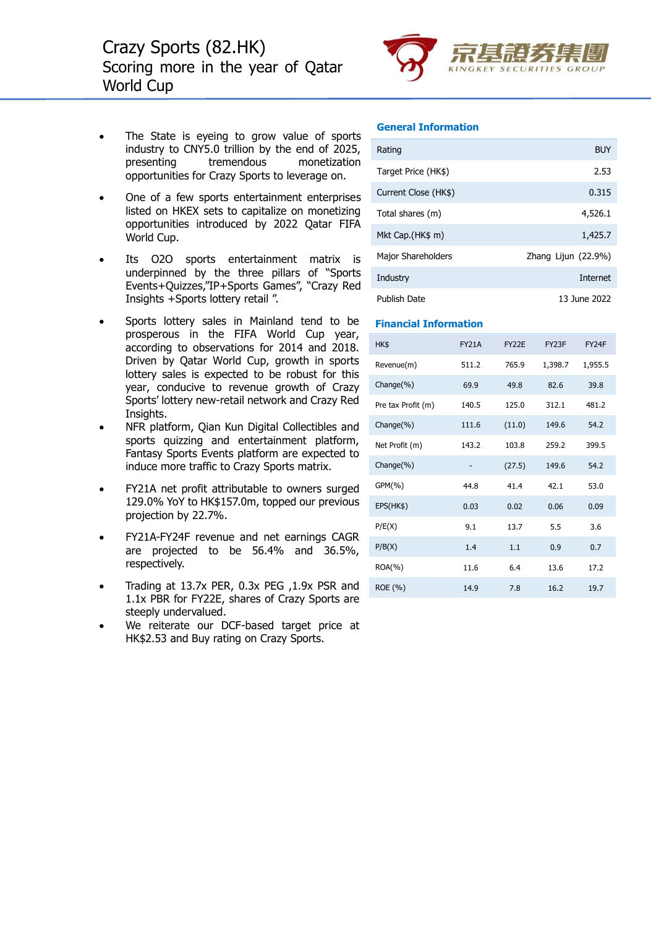

- The State is eyeing to grow value of sports industry to CNY5.0 trillion by the end of 2025, presenting tremendous monetization opportunities for Crazy Sports to leverage on.
- One of a few sports entertainment enterprises listed on HKEX sets to capitalize on monetizing opportunities introduced by 2022 Qatar FIFA World Cup.
- Its O2O sports entertainment matrix is underpinned by the three pillars of "Sports Events+Quizzes,"IP+Sports Games", "Crazy Red Insights +Sports lottery retail ".
- Sports lottery sales in Mainland tend to be prosperous in the FIFA World Cup year, according to observations for 2014 and 2018. Driven by Qatar World Cup, growth in sports lottery sales is expected to be robust for this year, conducive to revenue growth of Crazy Sports' lottery new-retail network and Crazy Red Insights.
- NFR platform, Qian Kun Digital Collectibles and sports quizzing and entertainment platform, Fantasy Sports Events platform are expected to induce more traffic to Crazy Sports matrix.
- FY21A net profit attributable to owners surged 129.0% YoY to HK\$157.0m, topped our previous projection by 22.7%.
- FY21A-FY24F revenue and net earnings CAGR are projected to be 56.4% and 36.5%, respectively.
- Trading at 13.7x PER, 0.3x PEG ,1.9x PSR and 1.1x PBR for FY22E, shares of Crazy Sports are steeply undervalued.
- We reiterate our DCF-based target price at HK\$2.53 and Buy rating on Crazy Sports.

#### **General Information**

| Rating               | <b>BUY</b>            |
|----------------------|-----------------------|
| Target Price (HK\$)  | 2.53                  |
| Current Close (HK\$) | 0.315                 |
| Total shares (m)     | 4,526.1               |
| Mkt Cap. (HK\$ m)    | 1,425.7               |
| Major Shareholders   | Zhang Lijun $(22.9%)$ |
| Industry             | <b>Internet</b>       |
| Publish Date         | 13 June 2022          |

#### **Financial Information**

| HK\$               | <b>FY21A</b> | <b>FY22E</b> | FY <sub>23</sub> F | FY24F   |
|--------------------|--------------|--------------|--------------------|---------|
| Revenue(m)         | 511.2        | 765.9        | 1,398.7            | 1,955.5 |
| Change(%)          | 69.9         | 49.8         | 82.6               | 39.8    |
| Pre tax Profit (m) | 140.5        | 125.0        | 312.1              | 481.2   |
| Change(%)          | 111.6        | (11.0)       | 149.6              | 54.2    |
| Net Profit (m)     | 143.2        | 103.8        | 259.2              | 399.5   |
| Change(%)          |              | (27.5)       | 149.6              | 54.2    |
| GPM(%)             | 44.8         | 41.4         | 42.1               | 53.0    |
| EPS(HK\$)          | 0.03         | 0.02         | 0.06               | 0.09    |
| P/E(X)             | 9.1          | 13.7         | 5.5                | 3.6     |
| P/B(X)             | 1.4          | 1.1          | 0.9                | 0.7     |
| $ROA(\% )$         | 11.6         | 6.4          | 13.6               | 17.2    |
| ROE (%)            | 14.9         | 7.8          | 16.2               | 19.7    |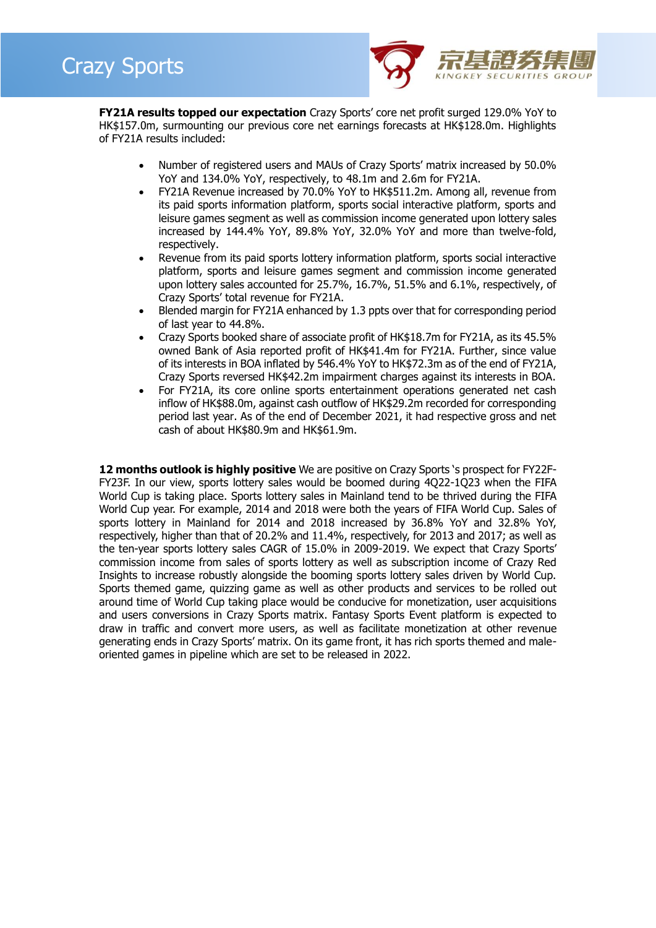

**FY21A results topped our expectation** Crazy Sports' core net profit surged 129.0% YoY to HK\$157.0m, surmounting our previous core net earnings forecasts at HK\$128.0m. Highlights of FY21A results included:

- Number of registered users and MAUs of Crazy Sports' matrix increased by 50.0% YoY and 134.0% YoY, respectively, to 48.1m and 2.6m for FY21A.
- FY21A Revenue increased by 70.0% YoY to HK\$511.2m. Among all, revenue from its paid sports information platform, sports social interactive platform, sports and leisure games segment as well as commission income generated upon lottery sales increased by 144.4% YoY, 89.8% YoY, 32.0% YoY and more than twelve-fold, respectively.
- Revenue from its paid sports lottery information platform, sports social interactive platform, sports and leisure games segment and commission income generated upon lottery sales accounted for 25.7%, 16.7%, 51.5% and 6.1%, respectively, of Crazy Sports' total revenue for FY21A.
- Blended margin for FY21A enhanced by 1.3 ppts over that for corresponding period of last year to 44.8%.
- Crazy Sports booked share of associate profit of HK\$18.7m for FY21A, as its 45.5% owned Bank of Asia reported profit of HK\$41.4m for FY21A. Further, since value of its interests in BOA inflated by 546.4% YoY to HK\$72.3m as of the end of FY21A, Crazy Sports reversed HK\$42.2m impairment charges against its interests in BOA.
- For FY21A, its core online sports entertainment operations generated net cash inflow of HK\$88.0m, against cash outflow of HK\$29.2m recorded for corresponding period last year. As of the end of December 2021, it had respective gross and net cash of about HK\$80.9m and HK\$61.9m.

**12 months outlook is highly positive** We are positive on Crazy Sports 's prospect for FY22F-FY23F. In our view, sports lottery sales would be boomed during 4Q22-1Q23 when the FIFA World Cup is taking place. Sports lottery sales in Mainland tend to be thrived during the FIFA World Cup year. For example, 2014 and 2018 were both the years of FIFA World Cup. Sales of sports lottery in Mainland for 2014 and 2018 increased by 36.8% YoY and 32.8% YoY, respectively, higher than that of 20.2% and 11.4%, respectively, for 2013 and 2017; as well as the ten-year sports lottery sales CAGR of 15.0% in 2009-2019. We expect that Crazy Sports' commission income from sales of sports lottery as well as subscription income of Crazy Red Insights to increase robustly alongside the booming sports lottery sales driven by World Cup. Sports themed game, quizzing game as well as other products and services to be rolled out around time of World Cup taking place would be conducive for monetization, user acquisitions and users conversions in Crazy Sports matrix. Fantasy Sports Event platform is expected to draw in traffic and convert more users, as well as facilitate monetization at other revenue generating ends in Crazy Sports' matrix. On its game front, it has rich sports themed and maleoriented games in pipeline which are set to be released in 2022.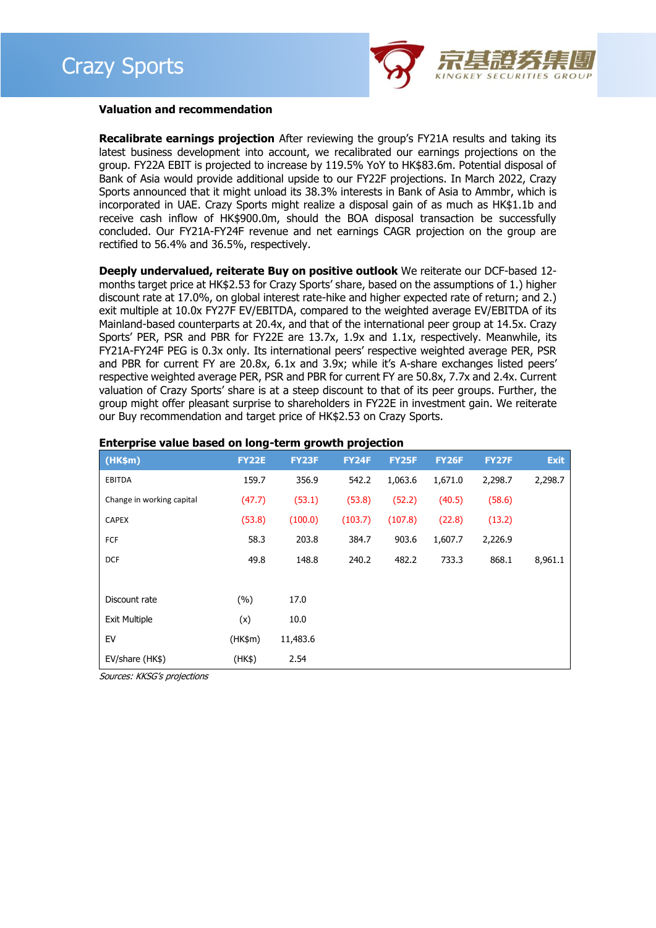

#### **Valuation and recommendation**

**Recalibrate earnings projection** After reviewing the group's FY21A results and taking its latest business development into account, we recalibrated our earnings projections on the group. FY22A EBIT is projected to increase by 119.5% YoY to HK\$83.6m. Potential disposal of Bank of Asia would provide additional upside to our FY22F projections. In March 2022, Crazy Sports announced that it might unload its 38.3% interests in Bank of Asia to Ammbr, which is incorporated in UAE. Crazy Sports might realize a disposal gain of as much as HK\$1.1b and receive cash inflow of HK\$900.0m, should the BOA disposal transaction be successfully concluded. Our FY21A-FY24F revenue and net earnings CAGR projection on the group are rectified to 56.4% and 36.5%, respectively.

**Deeply undervalued, reiterate Buy on positive outlook** We reiterate our DCF-based 12 months target price at HK\$2.53 for Crazy Sports' share, based on the assumptions of 1.) higher discount rate at 17.0%, on global interest rate-hike and higher expected rate of return; and 2.) exit multiple at 10.0x FY27F EV/EBITDA, compared to the weighted average EV/EBITDA of its Mainland-based counterparts at 20.4x, and that of the international peer group at 14.5x. Crazy Sports' PER, PSR and PBR for FY22E are 13.7x, 1.9x and 1.1x, respectively. Meanwhile, its FY21A-FY24F PEG is 0.3x only. Its international peers' respective weighted average PER, PSR and PBR for current FY are 20.8x, 6.1x and 3.9x; while it's A-share exchanges listed peers' respective weighted average PER, PSR and PBR for current FY are 50.8x, 7.7x and 2.4x. Current valuation of Crazy Sports' share is at a steep discount to that of its peer groups. Further, the group might offer pleasant surprise to shareholders in FY22E in investment gain. We reiterate our Buy recommendation and target price of HK\$2.53 on Crazy Sports.

| (HK\$m)                   | <b>FY22E</b> | <b>FY23F</b> | <b>FY24F</b> | <b>FY25F</b> | <b>FY26F</b> | <b>FY27F</b> | <b>Exit</b> |
|---------------------------|--------------|--------------|--------------|--------------|--------------|--------------|-------------|
| <b>EBITDA</b>             | 159.7        | 356.9        | 542.2        | 1,063.6      | 1,671.0      | 2,298.7      | 2,298.7     |
| Change in working capital | (47.7)       | (53.1)       | (53.8)       | (52.2)       | (40.5)       | (58.6)       |             |
| <b>CAPEX</b>              | (53.8)       | (100.0)      | (103.7)      | (107.8)      | (22.8)       | (13.2)       |             |
| FCF                       | 58.3         | 203.8        | 384.7        | 903.6        | 1,607.7      | 2,226.9      |             |
| <b>DCF</b>                | 49.8         | 148.8        | 240.2        | 482.2        | 733.3        | 868.1        | 8,961.1     |
|                           |              |              |              |              |              |              |             |
| Discount rate             | (%)          | 17.0         |              |              |              |              |             |
| <b>Exit Multiple</b>      | (x)          | 10.0         |              |              |              |              |             |
| EV                        | (HK\$m)      | 11,483.6     |              |              |              |              |             |
| EV/share (HK\$)           | (HK\$)       | 2.54         |              |              |              |              |             |

#### **Enterprise value based on long-term growth projection**

Sources: KKSG's projections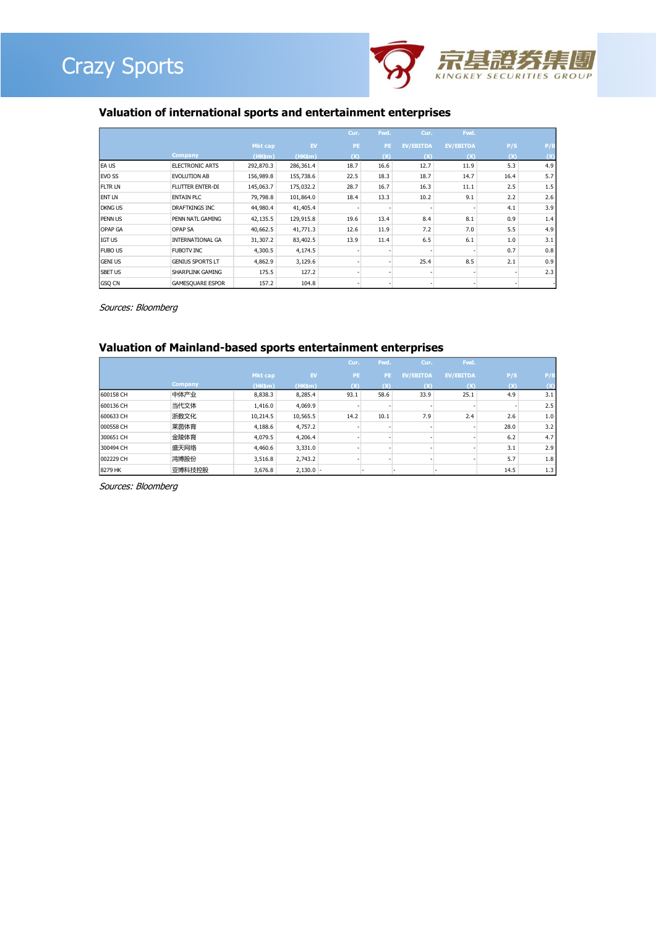



### **Valuation of international sports and entertainment enterprises**

|                |                         |                |           | Cur. | Fwd. | Cur.             | Fwd.             |      |     |
|----------------|-------------------------|----------------|-----------|------|------|------------------|------------------|------|-----|
|                |                         | <b>Mkt</b> cap | EV        | PE.  | PE.  | <b>EV/EBITDA</b> | <b>EV/EBITDA</b> | P/S  | P/B |
|                | <b>Company</b>          | (HK\$m)        | (HK\$m)   | (X)  | (X)  | $(\mathsf{X})$   | (X)              | (x)  |     |
| EA US          | <b>ELECTRONIC ARTS</b>  | 292,870.3      | 286,361.4 | 18.7 | 16.6 | 12.7             | 11.9             | 5.3  | 4.9 |
| <b>IEVO SS</b> | <b>EVOLUTION AB</b>     | 156,989.8      | 155,738.6 | 22.5 | 18.3 | 18.7             | 14.7             | 16.4 | 5.7 |
| <b>FLTR LN</b> | <b>FLUTTER ENTER-DI</b> | 145,063.7      | 175,032.2 | 28.7 | 16.7 | 16.3             | 11.1             | 2.5  | 1.5 |
| <b>ENT LN</b>  | <b>ENTAIN PLC</b>       | 79,798.8       | 101,864.0 | 18.4 | 13.3 | 10.2             | 9.1              | 2.2  | 2.6 |
| <b>DKNG US</b> | <b>DRAFTKINGS INC</b>   | 44,980.4       | 41,405.4  |      |      |                  |                  | 4.1  | 3.9 |
| <b>PENNUS</b>  | PENN NATL GAMING        | 42,135.5       | 129,915.8 | 19.6 | 13.4 | 8.4              | 8.1              | 0.9  | 1.4 |
| <b>OPAP GA</b> | <b>OPAP SA</b>          | 40,662.5       | 41,771.3  | 12.6 | 11.9 | 7.2              | 7.0              | 5.5  | 4.9 |
| <b>IGT US</b>  | <b>INTERNATIONAL GA</b> | 31,307.2       | 83,402.5  | 13.9 | 11.4 | 6.5              | 6.1              | 1.0  | 3.1 |
| <b>FUBO US</b> | <b>FUBOTV INC</b>       | 4,300.5        | 4,174.5   |      |      |                  |                  | 0.7  | 0.8 |
| <b>GENI US</b> | <b>GENIUS SPORTS LT</b> | 4,862.9        | 3,129.6   |      |      | 25.4             | 8.5              | 2.1  | 0.9 |
| <b>SBET US</b> | SHARPLINK GAMING        | 175.5          | 127.2     |      |      |                  |                  |      | 2.3 |
| <b>GSO CN</b>  | <b>GAMESQUARE ESPOR</b> | 157.2          | 104.8     |      |      |                  |                  |      |     |

Sources: Bloomberg

#### **Valuation of Mainland-based sports entertainment enterprises**

|           |                |                |             | Cur. | Fwd.     | Cur.             | Fwd.             |      |     |
|-----------|----------------|----------------|-------------|------|----------|------------------|------------------|------|-----|
|           |                | <b>Mkt cap</b> | EV          | PE.  | PE.      | <b>EV/EBITDA</b> | <b>EV/EBITDA</b> | P/S  | P/B |
|           | <b>Company</b> | (HK\$m)        | (HK\$m)     | (X)  | $\alpha$ | (x)              | (x)              | (X)  |     |
| 600158 CH | 中体产业           | 8,838.3        | 8,285.4     | 93.1 | 58.6     | 33.9             | 25.1             | 4.9  | 3.1 |
| 600136 CH | 当代文体           | 1,416.0        | 4,069.9     |      |          |                  |                  |      | 2.5 |
| 600633 CH | 浙数文化           | 10,214.5       | 10,565.5    | 14.2 | 10.1     | 7.9              | 2.4              | 2.6  | 1.0 |
| 000558 CH | 莱茵体育           | 4,188.6        | 4,757.2     |      |          |                  |                  | 28.0 | 3.2 |
| 300651 CH | 金陵体育           | 4,079.5        | 4,206.4     |      |          |                  |                  | 6.2  | 4.7 |
| 300494 CH | 盛天网络           | 4,460.6        | 3,331.0     |      |          |                  |                  | 3.1  | 2.9 |
| 002229 CH | 鸿博股份           | 3,516.8        | 2,743.2     |      |          |                  |                  | 5.7  | 1.8 |
| 8279 HK   | 亚博科技控股         | 3,676.8        | $2,130.0 -$ |      |          |                  |                  | 14.5 | 1.3 |

Sources: Bloomberg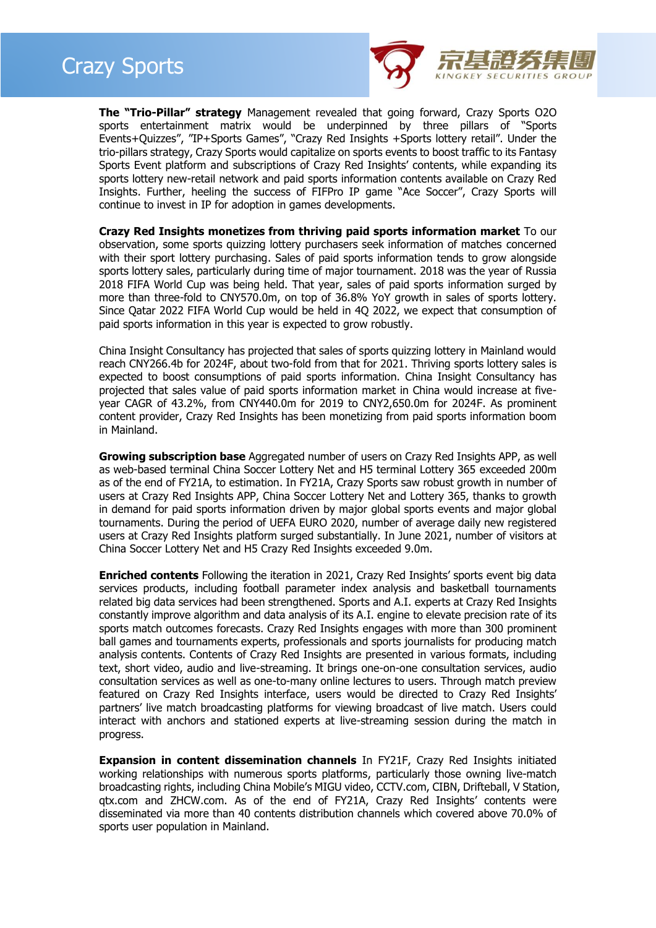



**The "Trio-Pillar" strategy** Management revealed that going forward, Crazy Sports O2O sports entertainment matrix would be underpinned by three pillars of "Sports Events+Quizzes", "IP+Sports Games", "Crazy Red Insights +Sports lottery retail". Under the trio-pillars strategy, Crazy Sports would capitalize on sports events to boost traffic to its Fantasy Sports Event platform and subscriptions of Crazy Red Insights' contents, while expanding its sports lottery new-retail network and paid sports information contents available on Crazy Red Insights. Further, heeling the success of FIFPro IP game "Ace Soccer", Crazy Sports will continue to invest in IP for adoption in games developments.

**Crazy Red Insights monetizes from thriving paid sports information market** To our observation, some sports quizzing lottery purchasers seek information of matches concerned with their sport lottery purchasing. Sales of paid sports information tends to grow alongside sports lottery sales, particularly during time of major tournament. 2018 was the year of Russia 2018 FIFA World Cup was being held. That year, sales of paid sports information surged by more than three-fold to CNY570.0m, on top of 36.8% YoY growth in sales of sports lottery. Since Qatar 2022 FIFA World Cup would be held in 4Q 2022, we expect that consumption of paid sports information in this year is expected to grow robustly.

China Insight Consultancy has projected that sales of sports quizzing lottery in Mainland would reach CNY266.4b for 2024F, about two-fold from that for 2021. Thriving sports lottery sales is expected to boost consumptions of paid sports information. China Insight Consultancy has projected that sales value of paid sports information market in China would increase at fiveyear CAGR of 43.2%, from CNY440.0m for 2019 to CNY2,650.0m for 2024F. As prominent content provider, Crazy Red Insights has been monetizing from paid sports information boom in Mainland.

**Growing subscription base** Aggregated number of users on Crazy Red Insights APP, as well as web-based terminal China Soccer Lottery Net and H5 terminal Lottery 365 exceeded 200m as of the end of FY21A, to estimation. In FY21A, Crazy Sports saw robust growth in number of users at Crazy Red Insights APP, China Soccer Lottery Net and Lottery 365, thanks to growth in demand for paid sports information driven by major global sports events and major global tournaments. During the period of UEFA EURO 2020, number of average daily new registered users at Crazy Red Insights platform surged substantially. In June 2021, number of visitors at China Soccer Lottery Net and H5 Crazy Red Insights exceeded 9.0m.

**Enriched contents** Following the iteration in 2021, Crazy Red Insights' sports event big data services products, including football parameter index analysis and basketball tournaments related big data services had been strengthened. Sports and A.I. experts at Crazy Red Insights constantly improve algorithm and data analysis of its A.I. engine to elevate precision rate of its sports match outcomes forecasts. Crazy Red Insights engages with more than 300 prominent ball games and tournaments experts, professionals and sports journalists for producing match analysis contents. Contents of Crazy Red Insights are presented in various formats, including text, short video, audio and live-streaming. It brings one-on-one consultation services, audio consultation services as well as one-to-many online lectures to users. Through match preview featured on Crazy Red Insights interface, users would be directed to Crazy Red Insights' partners' live match broadcasting platforms for viewing broadcast of live match. Users could interact with anchors and stationed experts at live-streaming session during the match in progress.

**Expansion in content dissemination channels** In FY21F, Crazy Red Insights initiated working relationships with numerous sports platforms, particularly those owning live-match broadcasting rights, including China Mobile's MIGU video, CCTV.com, CIBN, Drifteball, V Station, qtx.com and ZHCW.com. As of the end of FY21A, Crazy Red Insights' contents were disseminated via more than 40 contents distribution channels which covered above 70.0% of sports user population in Mainland.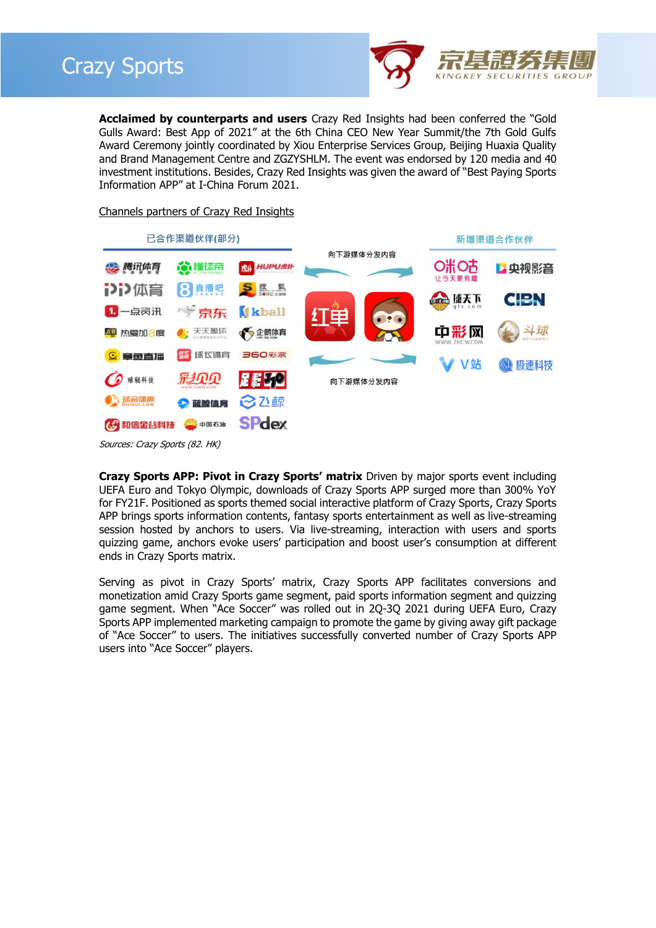

**Acclaimed by counterparts and users** Crazy Red Insights had been conferred the "Gold Gulls Award: Best App of 2021" at the 6th China CEO New Year Summit/the 7th Gold Gulfs Award Ceremony jointly coordinated by Xiou Enterprise Services Group, Beijing Huaxia Quality and Brand Management Centre and ZGZYSHLM. The event was endorsed by 120 media and 40 investment institutions. Besides, Crazy Red Insights was given the award of "Best Paying Sports Information APP" at I-China Forum 2021.

#### Channels partners of Crazy Red Insights



Sources: Crazy Sports (82. HK)

**Crazy Sports APP: Pivot in Crazy Sports' matrix** Driven by major sports event including UEFA Euro and Tokyo Olympic, downloads of Crazy Sports APP surged more than 300% YoY for FY21F. Positioned as sports themed social interactive platform of Crazy Sports, Crazy Sports APP brings sports information contents, fantasy sports entertainment as well as live-streaming session hosted by anchors to users. Via live-streaming, interaction with users and sports quizzing game, anchors evoke users' participation and boost user's consumption at different ends in Crazy Sports matrix.

Serving as pivot in Crazy Sports' matrix, Crazy Sports APP facilitates conversions and monetization amid Crazy Sports game segment, paid sports information segment and quizzing game segment. When "Ace Soccer" was rolled out in 2Q-3Q 2021 during UEFA Euro, Crazy Sports APP implemented marketing campaign to promote the game by giving away gift package of "Ace Soccer" to users. The initiatives successfully converted number of Crazy Sports APP users into "Ace Soccer" players.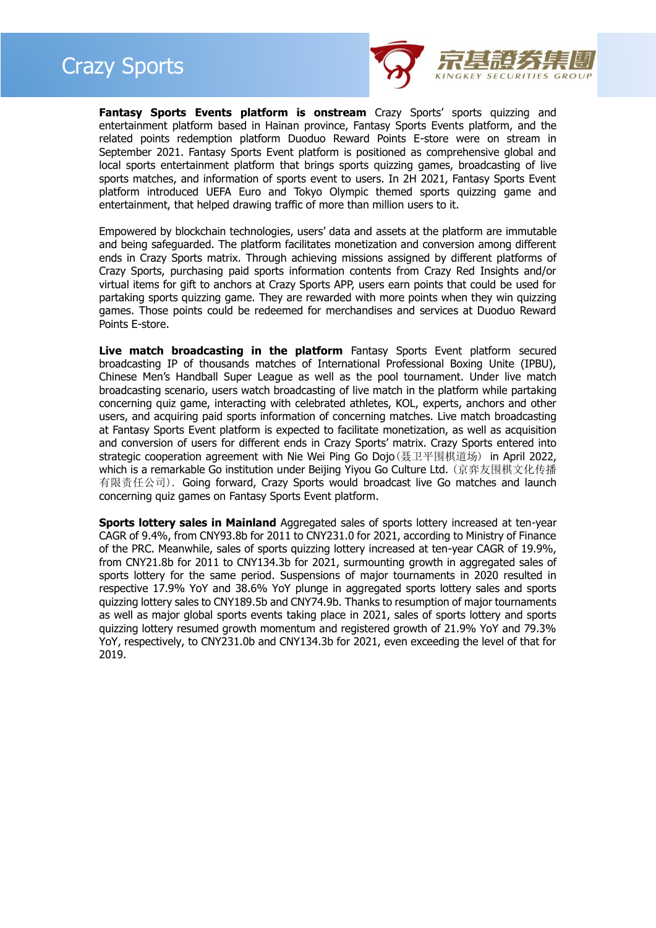



**Fantasy Sports Events platform is onstream** Crazy Sports' sports quizzing and entertainment platform based in Hainan province, Fantasy Sports Events platform, and the related points redemption platform Duoduo Reward Points E-store were on stream in September 2021. Fantasy Sports Event platform is positioned as comprehensive global and local sports entertainment platform that brings sports quizzing games, broadcasting of live sports matches, and information of sports event to users. In 2H 2021, Fantasy Sports Event platform introduced UEFA Euro and Tokyo Olympic themed sports quizzing game and entertainment, that helped drawing traffic of more than million users to it.

Empowered by blockchain technologies, users' data and assets at the platform are immutable and being safeguarded. The platform facilitates monetization and conversion among different ends in Crazy Sports matrix. Through achieving missions assigned by different platforms of Crazy Sports, purchasing paid sports information contents from Crazy Red Insights and/or virtual items for gift to anchors at Crazy Sports APP, users earn points that could be used for partaking sports quizzing game. They are rewarded with more points when they win quizzing games. Those points could be redeemed for merchandises and services at Duoduo Reward Points E-store.

**Live match broadcasting in the platform** Fantasy Sports Event platform secured broadcasting IP of thousands matches of International Professional Boxing Unite (IPBU), Chinese Men's Handball Super League as well as the pool tournament. Under live match broadcasting scenario, users watch broadcasting of live match in the platform while partaking concerning quiz game, interacting with celebrated athletes, KOL, experts, anchors and other users, and acquiring paid sports information of concerning matches. Live match broadcasting at Fantasy Sports Event platform is expected to facilitate monetization, as well as acquisition and conversion of users for different ends in Crazy Sports' matrix. Crazy Sports entered into strategic cooperation agreement with Nie Wei Ping Go Dojo(聂卫平围棋道场) in April 2022, which is a remarkable Go institution under Beijing Yiyou Go Culture Ltd. (京弈友围棋文化传播 有限责任公司). Going forward, Crazy Sports would broadcast live Go matches and launch concerning quiz games on Fantasy Sports Event platform.

**Sports lottery sales in Mainland** Aggregated sales of sports lottery increased at ten-year CAGR of 9.4%, from CNY93.8b for 2011 to CNY231.0 for 2021, according to Ministry of Finance of the PRC. Meanwhile, sales of sports quizzing lottery increased at ten-year CAGR of 19.9%, from CNY21.8b for 2011 to CNY134.3b for 2021, surmounting growth in aggregated sales of sports lottery for the same period. Suspensions of major tournaments in 2020 resulted in respective 17.9% YoY and 38.6% YoY plunge in aggregated sports lottery sales and sports quizzing lottery sales to CNY189.5b and CNY74.9b. Thanks to resumption of major tournaments as well as major global sports events taking place in 2021, sales of sports lottery and sports quizzing lottery resumed growth momentum and registered growth of 21.9% YoY and 79.3% YoY, respectively, to CNY231.0b and CNY134.3b for 2021, even exceeding the level of that for 2019.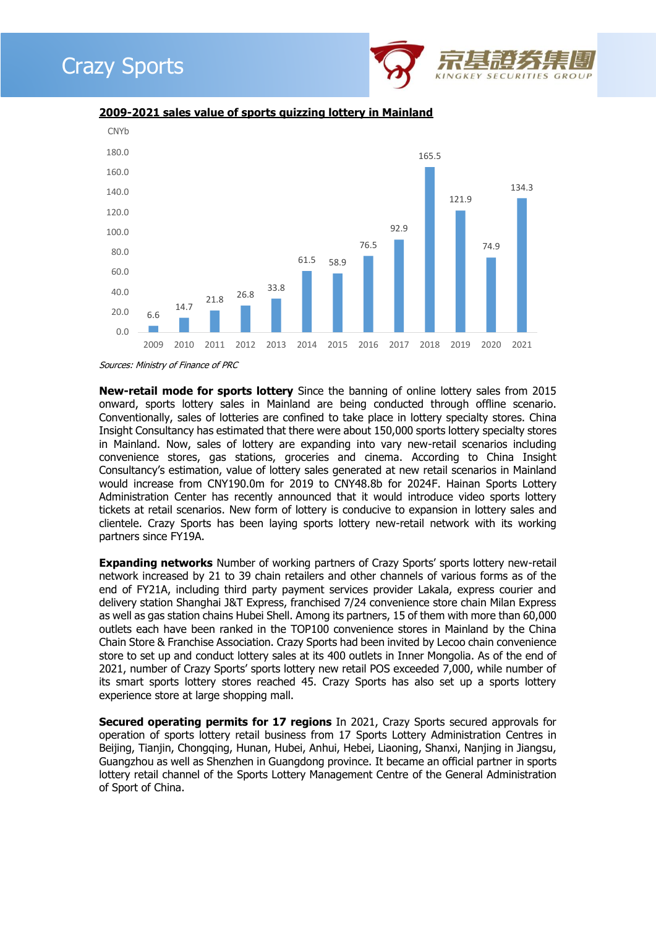



**2009-2021 sales value of sports quizzing lottery in Mainland**

Sources: Ministry of Finance of PRC

**New-retail mode for sports lottery** Since the banning of online lottery sales from 2015 onward, sports lottery sales in Mainland are being conducted through offline scenario. Conventionally, sales of lotteries are confined to take place in lottery specialty stores. China Insight Consultancy has estimated that there were about 150,000 sports lottery specialty stores in Mainland. Now, sales of lottery are expanding into vary new-retail scenarios including convenience stores, gas stations, groceries and cinema. According to China Insight Consultancy's estimation, value of lottery sales generated at new retail scenarios in Mainland would increase from CNY190.0m for 2019 to CNY48.8b for 2024F. Hainan Sports Lottery Administration Center has recently announced that it would introduce video sports lottery tickets at retail scenarios. New form of lottery is conducive to expansion in lottery sales and clientele. Crazy Sports has been laying sports lottery new-retail network with its working partners since FY19A.

**Expanding networks** Number of working partners of Crazy Sports' sports lottery new-retail network increased by 21 to 39 chain retailers and other channels of various forms as of the end of FY21A, including third party payment services provider Lakala, express courier and delivery station Shanghai J&T Express, franchised 7/24 convenience store chain Milan Express as well as gas station chains Hubei Shell. Among its partners, 15 of them with more than 60,000 outlets each have been ranked in the TOP100 convenience stores in Mainland by the China Chain Store & Franchise Association. Crazy Sports had been invited by Lecoo chain convenience store to set up and conduct lottery sales at its 400 outlets in Inner Mongolia. As of the end of 2021, number of Crazy Sports' sports lottery new retail POS exceeded 7,000, while number of its smart sports lottery stores reached 45. Crazy Sports has also set up a sports lottery experience store at large shopping mall.

**Secured operating permits for 17 regions** In 2021, Crazy Sports secured approvals for operation of sports lottery retail business from 17 Sports Lottery Administration Centres in Beijing, Tianjin, Chongqing, Hunan, Hubei, Anhui, Hebei, Liaoning, Shanxi, Nanjing in Jiangsu, Guangzhou as well as Shenzhen in Guangdong province. It became an official partner in sports lottery retail channel of the Sports Lottery Management Centre of the General Administration of Sport of China.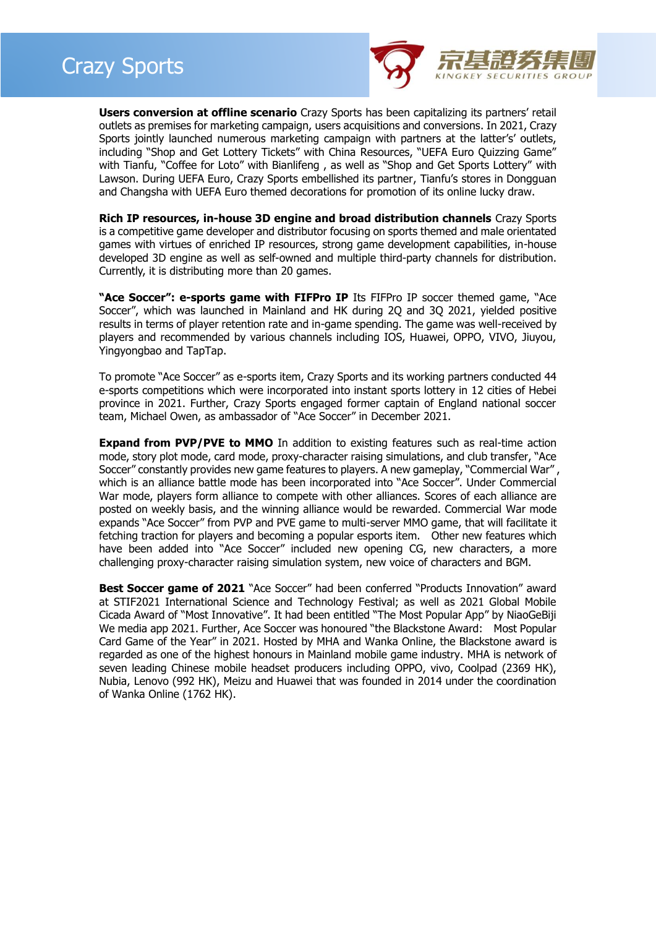

**Users conversion at offline scenario** Crazy Sports has been capitalizing its partners' retail outlets as premises for marketing campaign, users acquisitions and conversions. In 2021, Crazy Sports jointly launched numerous marketing campaign with partners at the latter's' outlets, including "Shop and Get Lottery Tickets" with China Resources, "UEFA Euro Quizzing Game" with Tianfu, "Coffee for Loto" with Bianlifeng, as well as "Shop and Get Sports Lottery" with Lawson. During UEFA Euro, Crazy Sports embellished its partner, Tianfu's stores in Dongguan and Changsha with UEFA Euro themed decorations for promotion of its online lucky draw.

**Rich IP resources, in-house 3D engine and broad distribution channels** Crazy Sports is a competitive game developer and distributor focusing on sports themed and male orientated games with virtues of enriched IP resources, strong game development capabilities, in-house developed 3D engine as well as self-owned and multiple third-party channels for distribution. Currently, it is distributing more than 20 games.

**"Ace Soccer": e-sports game with FIFPro IP** Its FIFPro IP soccer themed game, "Ace Soccer", which was launched in Mainland and HK during 2Q and 3Q 2021, yielded positive results in terms of player retention rate and in-game spending. The game was well-received by players and recommended by various channels including IOS, Huawei, OPPO, VIVO, Jiuyou, Yingyongbao and TapTap.

To promote "Ace Soccer" as e-sports item, Crazy Sports and its working partners conducted 44 e-sports competitions which were incorporated into instant sports lottery in 12 cities of Hebei province in 2021. Further, Crazy Sports engaged former captain of England national soccer team, Michael Owen, as ambassador of "Ace Soccer" in December 2021.

**Expand from PVP/PVE to MMO** In addition to existing features such as real-time action mode, story plot mode, card mode, proxy-character raising simulations, and club transfer, "Ace Soccer" constantly provides new game features to players. A new gameplay, "Commercial War" which is an alliance battle mode has been incorporated into "Ace Soccer". Under Commercial War mode, players form alliance to compete with other alliances. Scores of each alliance are posted on weekly basis, and the winning alliance would be rewarded. Commercial War mode expands "Ace Soccer" from PVP and PVE game to multi-server MMO game, that will facilitate it fetching traction for players and becoming a popular esports item. Other new features which have been added into "Ace Soccer" included new opening CG, new characters, a more challenging proxy-character raising simulation system, new voice of characters and BGM.

**Best Soccer game of 2021** "Ace Soccer" had been conferred "Products Innovation" award at STIF2021 International Science and Technology Festival; as well as 2021 Global Mobile Cicada Award of "Most Innovative". It had been entitled "The Most Popular App" by NiaoGeBiji We media app 2021. Further, Ace Soccer was honoured "the Blackstone Award: Most Popular Card Game of the Year" in 2021. Hosted by MHA and Wanka Online, the Blackstone award is regarded as one of the highest honours in Mainland mobile game industry. MHA is network of seven leading Chinese mobile headset producers including OPPO, vivo, Coolpad (2369 HK), Nubia, Lenovo (992 HK), Meizu and Huawei that was founded in 2014 under the coordination of Wanka Online (1762 HK).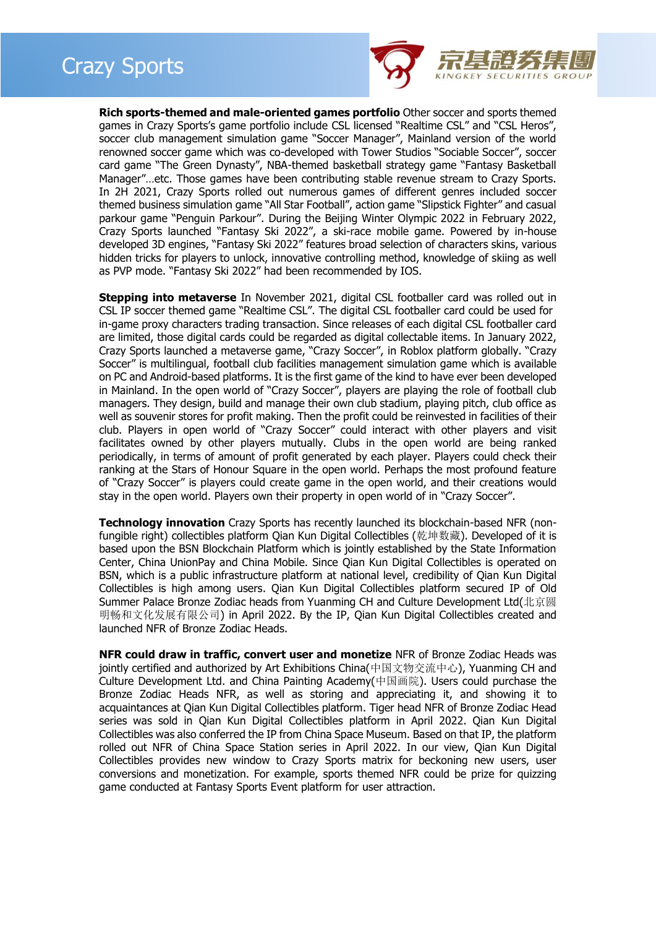### Crazy Sports



**Rich sports-themed and male-oriented games portfolio** Other soccer and sports themed games in Crazy Sports's game portfolio include CSL licensed "Realtime CSL" and "CSL Heros", soccer club management simulation game "Soccer Manager", Mainland version of the world renowned soccer game which was co-developed with Tower Studios "Sociable Soccer", soccer card game "The Green Dynasty", NBA-themed basketball strategy game "Fantasy Basketball Manager"…etc. Those games have been contributing stable revenue stream to Crazy Sports. In 2H 2021, Crazy Sports rolled out numerous games of different genres included soccer themed business simulation game "All Star Football", action game "Slipstick Fighter" and casual parkour game "Penguin Parkour". During the Beijing Winter Olympic 2022 in February 2022, Crazy Sports launched "Fantasy Ski 2022", a ski-race mobile game. Powered by in-house developed 3D engines, "Fantasy Ski 2022" features broad selection of characters skins, various hidden tricks for players to unlock, innovative controlling method, knowledge of skiing as well as PVP mode. "Fantasy Ski 2022" had been recommended by IOS.

**Stepping into metaverse** In November 2021, digital CSL footballer card was rolled out in CSL IP soccer themed game "Realtime CSL". The digital CSL footballer card could be used for in-game proxy characters trading transaction. Since releases of each digital CSL footballer card are limited, those digital cards could be regarded as digital collectable items. In January 2022, Crazy Sports launched a metaverse game, "Crazy Soccer", in Roblox platform globally. "Crazy Soccer" is multilingual, football club facilities management simulation game which is available on PC and Android-based platforms. It is the first game of the kind to have ever been developed in Mainland. In the open world of "Crazy Soccer", players are playing the role of football club managers. They design, build and manage their own club stadium, playing pitch, club office as well as souvenir stores for profit making. Then the profit could be reinvested in facilities of their club. Players in open world of "Crazy Soccer" could interact with other players and visit facilitates owned by other players mutually. Clubs in the open world are being ranked periodically, in terms of amount of profit generated by each player. Players could check their ranking at the Stars of Honour Square in the open world. Perhaps the most profound feature of "Crazy Soccer" is players could create game in the open world, and their creations would stay in the open world. Players own their property in open world of in "Crazy Soccer".

**Technology innovation** Crazy Sports has recently launched its blockchain-based NFR (nonfungible right) collectibles platform Qian Kun Digital Collectibles (乾坤数藏). Developed of it is based upon the BSN Blockchain Platform which is jointly established by the State Information Center, China UnionPay and China Mobile. Since Qian Kun Digital Collectibles is operated on BSN, which is a public infrastructure platform at national level, credibility of Qian Kun Digital Collectibles is high among users. Qian Kun Digital Collectibles platform secured IP of Old Summer Palace Bronze Zodiac heads from Yuanming CH and Culture Development Ltd(北京圆 明畅和文化发展有限公司) in April 2022. By the IP, Qian Kun Digital Collectibles created and launched NFR of Bronze Zodiac Heads.

**NFR could draw in traffic, convert user and monetize** NFR of Bronze Zodiac Heads was jointly certified and authorized by Art Exhibitions China(中国文物交流中心), Yuanming CH and Culture Development Ltd. and China Painting Academy(中国画院). Users could purchase the Bronze Zodiac Heads NFR, as well as storing and appreciating it, and showing it to acquaintances at Qian Kun Digital Collectibles platform. Tiger head NFR of Bronze Zodiac Head series was sold in Qian Kun Digital Collectibles platform in April 2022. Qian Kun Digital Collectibles was also conferred the IP from China Space Museum. Based on that IP, the platform rolled out NFR of China Space Station series in April 2022. In our view, Qian Kun Digital Collectibles provides new window to Crazy Sports matrix for beckoning new users, user conversions and monetization. For example, sports themed NFR could be prize for quizzing game conducted at Fantasy Sports Event platform for user attraction.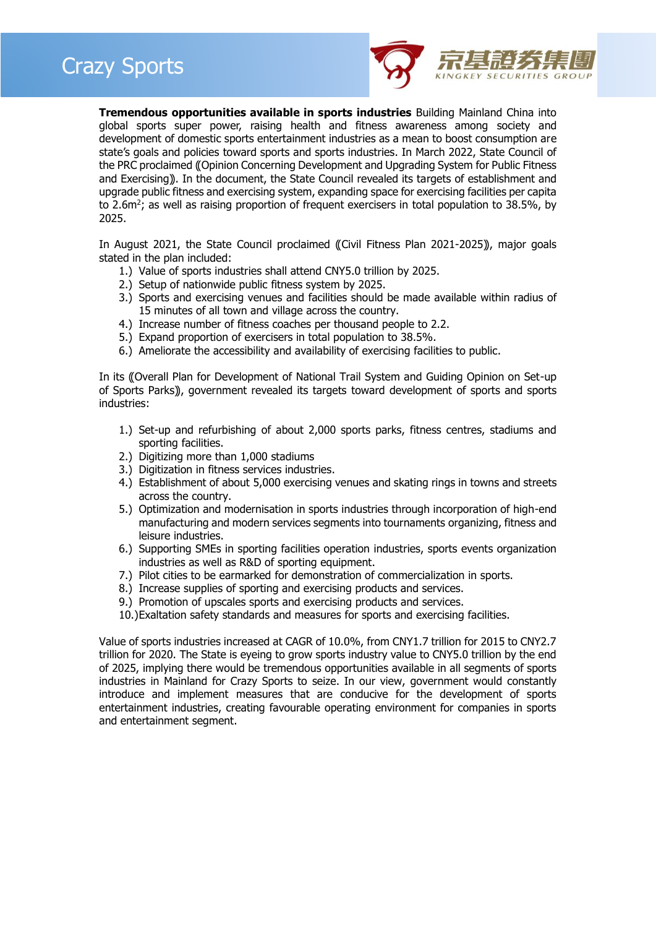

**Tremendous opportunities available in sports industries** Building Mainland China into global sports super power, raising health and fitness awareness among society and development of domestic sports entertainment industries as a mean to boost consumption are state's goals and policies toward sports and sports industries. In March 2022, State Council of the PRC proclaimed ((Opinion Concerning Development and Upgrading System for Public Fitness and Exercising)). In the document, the State Council revealed its targets of establishment and upgrade public fitness and exercising system, expanding space for exercising facilities per capita to 2.6m<sup>2</sup>; as well as raising proportion of frequent exercisers in total population to 38.5%, by 2025.

In August 2021, the State Council proclaimed (Civil Fitness Plan 2021-2025)), major goals stated in the plan included:

- 1.) Value of sports industries shall attend CNY5.0 trillion by 2025.
- 2.) Setup of nationwide public fitness system by 2025.
- 3.) Sports and exercising venues and facilities should be made available within radius of 15 minutes of all town and village across the country.
- 4.) Increase number of fitness coaches per thousand people to 2.2.
- 5.) Expand proportion of exercisers in total population to 38.5%.
- 6.) Ameliorate the accessibility and availability of exercising facilities to public.

In its ((Overall Plan for Development of National Trail System and Guiding Opinion on Set-up of Sports Parks), government revealed its targets toward development of sports and sports industries:

- 1.) Set-up and refurbishing of about 2,000 sports parks, fitness centres, stadiums and sporting facilities.
- 2.) Digitizing more than 1,000 stadiums
- 3.) Digitization in fitness services industries.
- 4.) Establishment of about 5,000 exercising venues and skating rings in towns and streets across the country.
- 5.) Optimization and modernisation in sports industries through incorporation of high-end manufacturing and modern services segments into tournaments organizing, fitness and leisure industries.
- 6.) Supporting SMEs in sporting facilities operation industries, sports events organization industries as well as R&D of sporting equipment.
- 7.) Pilot cities to be earmarked for demonstration of commercialization in sports.
- 8.) Increase supplies of sporting and exercising products and services.
- 9.) Promotion of upscales sports and exercising products and services.
- 10.)Exaltation safety standards and measures for sports and exercising facilities.

Value of sports industries increased at CAGR of 10.0%, from CNY1.7 trillion for 2015 to CNY2.7 trillion for 2020. The State is eyeing to grow sports industry value to CNY5.0 trillion by the end of 2025, implying there would be tremendous opportunities available in all segments of sports industries in Mainland for Crazy Sports to seize. In our view, government would constantly introduce and implement measures that are conducive for the development of sports entertainment industries, creating favourable operating environment for companies in sports and entertainment segment.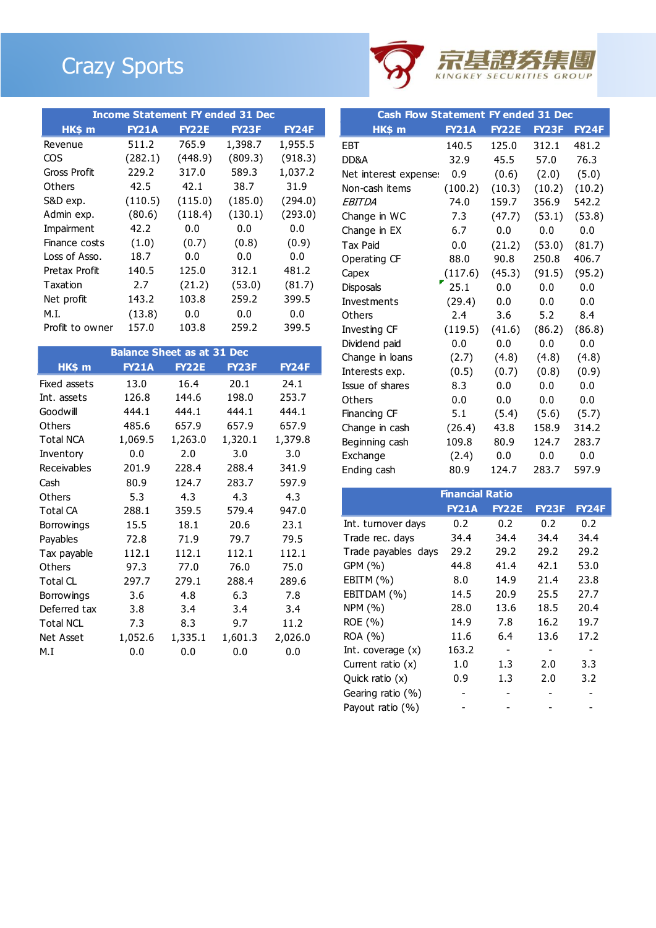# Crazy Sports



| <b>Income Statement FY ended 31 Dec</b> |              |              |              |              |  |  |  |
|-----------------------------------------|--------------|--------------|--------------|--------------|--|--|--|
| HK\$ m                                  | <b>FY21A</b> | <b>FY22E</b> | <b>FY23F</b> | <b>FY24F</b> |  |  |  |
| Revenue                                 | 511.2        | 765.9        | 1,398.7      | 1,955.5      |  |  |  |
| COS                                     | (282.1)      | (448.9)      | (809.3)      | (918.3)      |  |  |  |
| Gross Profit                            | 229.2        | 317.0        | 589.3        | 1,037.2      |  |  |  |
| Others                                  | 42.5         | 42.1         | 38.7         | 31.9         |  |  |  |
| S&D exp.                                | (110.5)      | (115.0)      | (185.0)      | (294.0)      |  |  |  |
| Admin exp.                              | (80.6)       | (118.4)      | (130.1)      | (293.0)      |  |  |  |
| Impairment                              | 42.2         | 0.0          | 0.0          | 0.0          |  |  |  |
| Finance costs                           | (1.0)        | (0.7)        | (0.8)        | (0.9)        |  |  |  |
| Loss of Asso.                           | 18.7         | 0.0          | 0.0          | 0.0          |  |  |  |
| Pretax Profit                           | 140.5        | 125.0        | 312.1        | 481.2        |  |  |  |
| Taxation                                | 2.7          | (21.2)       | (53.0)       | (81.7)       |  |  |  |
| Net profit                              | 143.2        | 103.8        | 259.2        | 399.5        |  |  |  |
| M.I.                                    | (13.8)       | 0.0          | 0.0          | 0.0          |  |  |  |
| Profit to owner                         | 157.0        | 103.8        | 259.2        | 399.5        |  |  |  |

| <b>Balance Sheet as at 31 Dec</b> |              |              |         |              |  |  |  |  |
|-----------------------------------|--------------|--------------|---------|--------------|--|--|--|--|
| HK\$ m                            | <b>FY21A</b> | <b>FY22E</b> | FY23F   | <b>FY24F</b> |  |  |  |  |
| Fixed assets                      | 13.0         | 16.4         | 20.1    | 24.1         |  |  |  |  |
| Int. assets                       | 126.8        | 144.6        | 198.0   | 253.7        |  |  |  |  |
| Goodwill                          | 444.1        | 444.1        | 444.1   | 444.1        |  |  |  |  |
| <b>Others</b>                     | 485.6        | 657.9        | 657.9   | 657.9        |  |  |  |  |
| <b>Total NCA</b>                  | 1,069.5      | 1,263.0      | 1,320.1 | 1,379.8      |  |  |  |  |
| Inventory                         | 0.0          | 2.0          | 3.0     | 3.0          |  |  |  |  |
| Receivables                       | 201.9        | 228.4        | 288.4   | 341.9        |  |  |  |  |
| Cash                              | 80.9         | 124.7        | 283.7   | 597.9        |  |  |  |  |
| Others                            | 5.3          | 4.3          | 4.3     | 4.3          |  |  |  |  |
| <b>Total CA</b>                   | 288.1        | 359.5        | 579.4   | 947.0        |  |  |  |  |
| <b>Borrowings</b>                 | 15.5         | 18.1         | 20.6    | 23.1         |  |  |  |  |
| Payables                          | 72.8         | 71.9         | 79.7    | 79.5         |  |  |  |  |
| Tax payable                       | 112.1        | 112.1        | 112.1   | 112.1        |  |  |  |  |
| <b>Others</b>                     | 97.3         | 77.0         | 76.0    | 75.0         |  |  |  |  |
| <b>Total CL</b>                   | 297.7        | 279.1        | 288.4   | 289.6        |  |  |  |  |
| <b>Borrowings</b>                 | 3.6          | 4.8          | 6.3     | 7.8          |  |  |  |  |
| Deferred tax                      | 3.8          | 3.4          | 3.4     | 3.4          |  |  |  |  |
| <b>Total NCL</b>                  | 7.3          | 8.3          | 9.7     | 11.2         |  |  |  |  |
| <b>Net Asset</b>                  | 1,052.6      | 1,335.1      | 1,601.3 | 2,026.0      |  |  |  |  |
| M.I                               | 0.0          | 0.0          | 0.0     | 0.0          |  |  |  |  |

|                       | <b>Cash Flow Statement FY ended 31 Dec</b> |              |        |              |  |  |  |  |
|-----------------------|--------------------------------------------|--------------|--------|--------------|--|--|--|--|
| HK\$ m                | <b>FY21A</b>                               | <b>FY22E</b> | FY23F  | <b>FY24F</b> |  |  |  |  |
| EBT                   | 140.5                                      | 125.0        | 312.1  | 481.2        |  |  |  |  |
| DD&A                  | 32.9                                       | 45.5         | 57.0   | 76.3         |  |  |  |  |
| Net interest expense: | 0.9                                        | (0.6)        | (2.0)  | (5.0)        |  |  |  |  |
| Non-cash items        | (100.2)                                    | (10.3)       | (10.2) | (10.2)       |  |  |  |  |
| EBITDA                | 74.0                                       | 159.7        | 356.9  | 542.2        |  |  |  |  |
| Change in WC          | 7.3                                        | (47.7)       | (53.1) | (53.8)       |  |  |  |  |
| Change in EX          | 6.7                                        | 0.0          | 0.0    | 0.0          |  |  |  |  |
| <b>Tax Paid</b>       | 0.0                                        | (21.2)       | (53.0) | (81.7)       |  |  |  |  |
| Operating CF          | 88.0                                       | 90.8         | 250.8  | 406.7        |  |  |  |  |
| Capex                 | (117.6)                                    | (45.3)       | (91.5) | (95.2)       |  |  |  |  |
| Disposals             | 25.1                                       | 0.0          | 0.0    | 0.0          |  |  |  |  |
| Investments           | (29.4)                                     | 0.0          | 0.0    | 0.0          |  |  |  |  |
| Others                | 2.4                                        | 3.6          | 5.2    | 8.4          |  |  |  |  |
| Investing CF          | (119.5)                                    | (41.6)       | (86.2) | (86.8)       |  |  |  |  |
| Dividend paid         | 0.0                                        | 0.0          | 0.0    | 0.0          |  |  |  |  |
| Change in loans       | (2.7)                                      | (4.8)        | (4.8)  | (4.8)        |  |  |  |  |
| Interests exp.        | (0.5)                                      | (0.7)        | (0.8)  | (0.9)        |  |  |  |  |
| Issue of shares       | 8.3                                        | 0.0          | 0.0    | 0.0          |  |  |  |  |
| Others                | 0.0                                        | 0.0          | 0.0    | 0.0          |  |  |  |  |
| Financing CF          | 5.1                                        | (5.4)        | (5.6)  | (5.7)        |  |  |  |  |
| Change in cash        | (26.4)                                     | 43.8         | 158.9  | 314.2        |  |  |  |  |
| Beginning cash        | 109.8                                      | 80.9         | 124.7  | 283.7        |  |  |  |  |
| Exchange              | (2.4)                                      | 0.0          | 0.0    | 0.0          |  |  |  |  |
| Ending cash           | 80.9                                       | 124.7        | 283.7  | 597.9        |  |  |  |  |

| <b>Financial Ratio</b> |              |              |              |              |  |  |  |
|------------------------|--------------|--------------|--------------|--------------|--|--|--|
|                        | <b>FY21A</b> | <b>FY22E</b> | <b>FY23F</b> | <b>FY24F</b> |  |  |  |
| Int. turnover days     | 0.2          | 0.2          | 0.2          | 0.2          |  |  |  |
|                        |              |              |              |              |  |  |  |
| Trade rec. days        | 34.4         | 34.4         | 34.4         | 34.4         |  |  |  |
| Trade payables days    | 29.2         | 29.2         | 29.2         | 29.2         |  |  |  |
| GPM (%)                | 44.8         | 41.4         | 42.1         | 53.0         |  |  |  |
| EBITM $(\% )$          | 8.0          | 14.9         | 21.4         | 23.8         |  |  |  |
| EBITDAM (%)            | 14.5         | 20.9         | 25.5         | 27.7         |  |  |  |
| NPM (%)                | 28.0         | 13.6         | 18.5         | 20.4         |  |  |  |
| ROE (%)                | 14.9         | 7.8          | 16.2         | 19.7         |  |  |  |
| ROA (%)                | 11.6         | 6.4          | 13.6         | 17.2         |  |  |  |
| Int. coverage $(x)$    | 163.2        | -            |              |              |  |  |  |
| Current ratio $(x)$    | 1.0          | 1.3          | 2.0          | 3.3          |  |  |  |
| Quick ratio $(x)$      | 0.9          | 1.3          | 2.0          | 3.2          |  |  |  |
| Gearing ratio (%)      |              |              |              |              |  |  |  |
| Payout ratio (%)       |              |              |              |              |  |  |  |